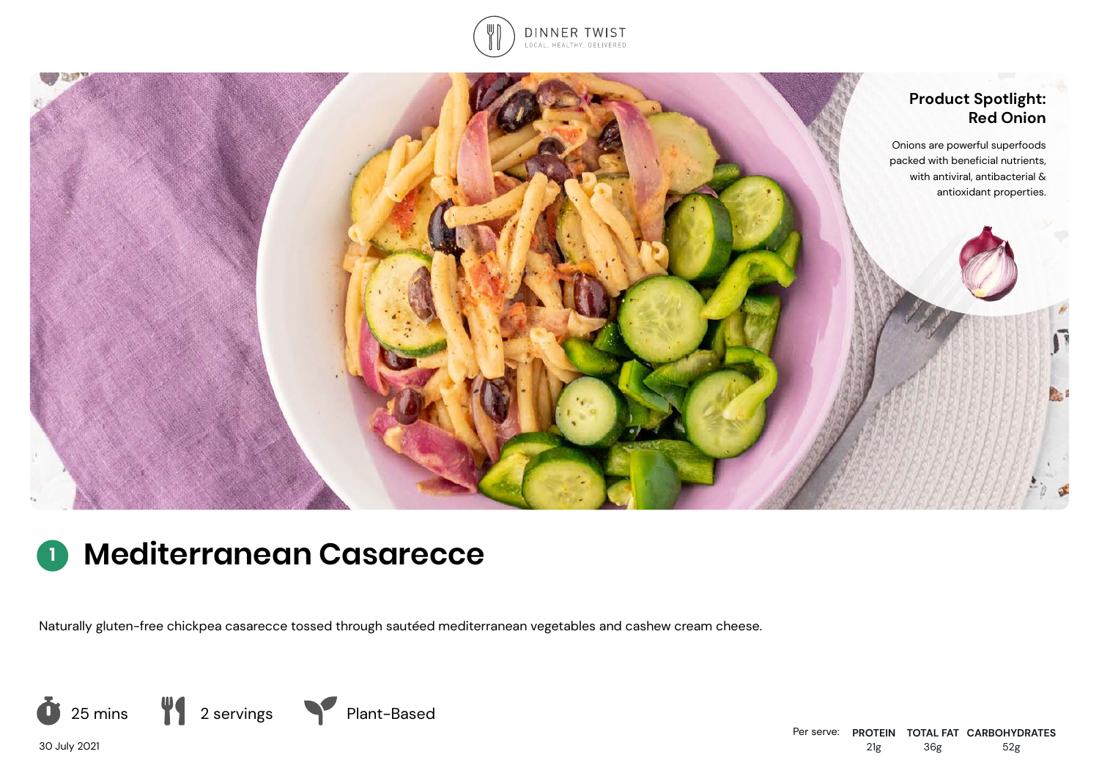



# **<sup>1</sup> Mediterranean Casarecce**

Naturally gluten-free chickpea casarecce tossed through sautéed mediterranean vegetables and cashew cream cheese.



30 July 2021